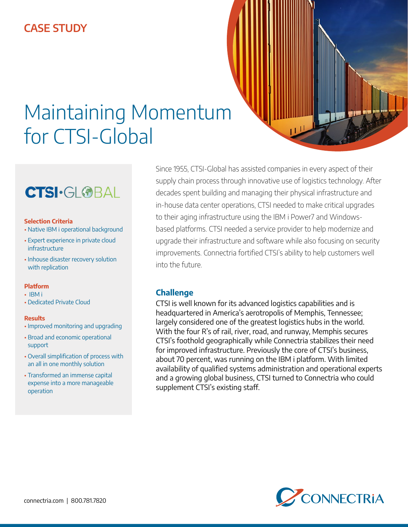## **CASE STUDY**



# **CTSI·GL®BAL**

#### **Selection Criteria**

- Native IBM i operational background
- Expert experience in private cloud infrastructure
- Inhouse disaster recovery solution with replication

### **Platform**

- IBM i
- Dedicated Private Cloud

#### **Results**

- Improved monitoring and upgrading
- Broad and economic operational support
- Overall simplification of process with an all in one monthly solution
- Transformed an immense capital expense into a more manageable operation

Since 1955, CTSI-Global has assisted companies in every aspect of their supply chain process through innovative use of logistics technology. After decades spent building and managing their physical infrastructure and in-house data center operations, CTSI needed to make critical upgrades to their aging infrastructure using the IBM i Power7 and Windowsbased platforms. CTSI needed a service provider to help modernize and upgrade their infrastructure and software while also focusing on security improvements. Connectria fortified CTSI's ability to help customers well into the future.

### **Challenge**

CTSI is well known for its advanced logistics capabilities and is headquartered in America's aerotropolis of Memphis, Tennessee; largely considered one of the greatest logistics hubs in the world. With the four R's of rail, river, road, and runway, Memphis secures CTSI's foothold geographically while Connectria stabilizes their need for improved infrastructure. Previously the core of CTSI's business, about 70 percent, was running on the IBM i platform. With limited availability of qualified systems administration and operational experts and a growing global business, CTSI turned to Connectria who could supplement CTSI's existing staff.

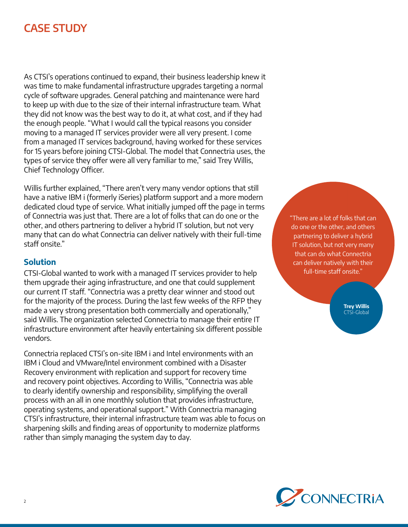## **CASE STUDY**

As CTSI's operations continued to expand, their business leadership knew it was time to make fundamental infrastructure upgrades targeting a normal cycle of software upgrades. General patching and maintenance were hard to keep up with due to the size of their internal infrastructure team. What they did not know was the best way to do it, at what cost, and if they had the enough people. "What I would call the typical reasons you consider moving to a managed IT services provider were all very present. I come from a managed IT services background, having worked for these services for 15 years before joining CTSI-Global. The model that Connectria uses, the types of service they offer were all very familiar to me," said Trey Willis, Chief Technology Officer.

Willis further explained, "There aren't very many vendor options that still have a native IBM i (formerly iSeries) platform support and a more modern dedicated cloud type of service. What initially jumped off the page in terms of Connectria was just that. There are a lot of folks that can do one or the other, and others partnering to deliver a hybrid IT solution, but not very many that can do what Connectria can deliver natively with their full-time staff onsite."

## **Solution**

CTSI-Global wanted to work with a managed IT services provider to help them upgrade their aging infrastructure, and one that could supplement our current IT staff. "Connectria was a pretty clear winner and stood out for the majority of the process. During the last few weeks of the RFP they made a very strong presentation both commercially and operationally," said Willis. The organization selected Connectria to manage their entire IT infrastructure environment after heavily entertaining six different possible vendors.

Connectria replaced CTSI's on-site IBM i and Intel environments with an IBM i Cloud and VMware/Intel environment combined with a Disaster Recovery environment with replication and support for recovery time and recovery point objectives. According to Willis, "Connectria was able to clearly identify ownership and responsibility, simplifying the overall process with an all in one monthly solution that provides infrastructure, operating systems, and operational support." With Connectria managing CTSI's infrastructure, their internal infrastructure team was able to focus on sharpening skills and finding areas of opportunity to modernize platforms rather than simply managing the system day to day.

"There are a lot of folks that can do one or the other, and others partnering to deliver a hybrid IT solution, but not very many that can do what Connectria can deliver natively with their full-time staff onsite."

> **Trey Willis** CTSI-Global